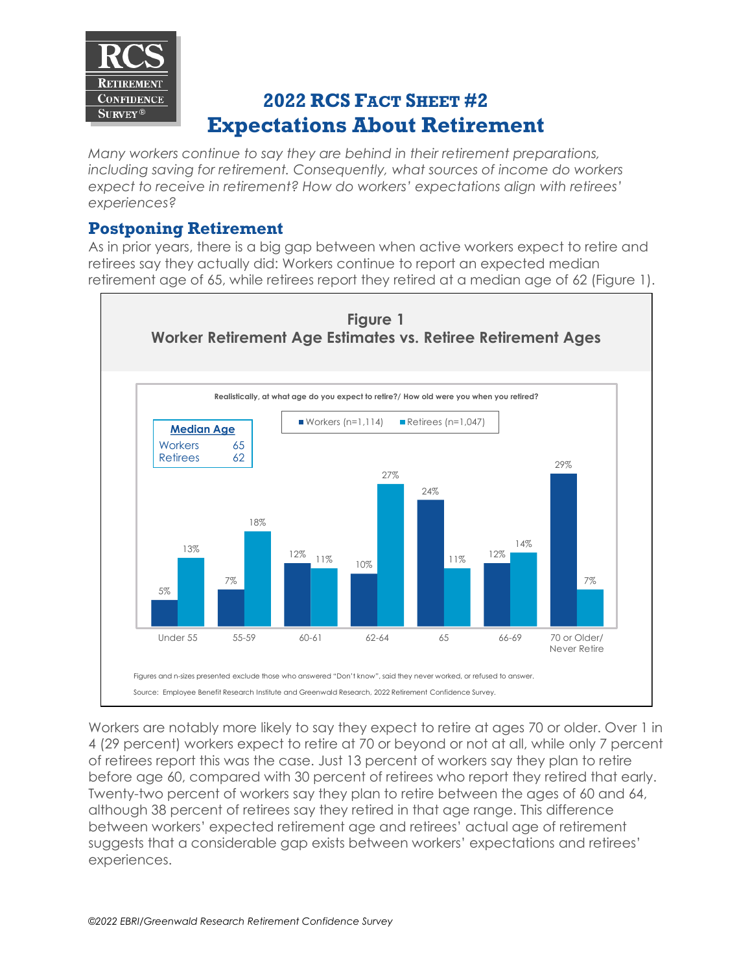

## **2022 RCS FACT SHEET #2 Expectations About Retirement**

*Many workers continue to say they are behind in their retirement preparations, including saving for retirement. Consequently, what sources of income do workers expect to receive in retirement? How do workers' expectations align with retirees' experiences?*

## **Postponing Retirement**

As in prior years, there is a big gap between when active workers expect to retire and retirees say they actually did: Workers continue to report an expected median retirement age of 65, while retirees report they retired at a median age of 62 (Figure 1).



Workers are notably more likely to say they expect to retire at ages 70 or older. Over 1 in 4 (29 percent) workers expect to retire at 70 or beyond or not at all, while only 7 percent of retirees report this was the case. Just 13 percent of workers say they plan to retire before age 60, compared with 30 percent of retirees who report they retired that early. Twenty-two percent of workers say they plan to retire between the ages of 60 and 64, although 38 percent of retirees say they retired in that age range. This difference between workers' expected retirement age and retirees' actual age of retirement suggests that a considerable gap exists between workers' expectations and retirees' experiences.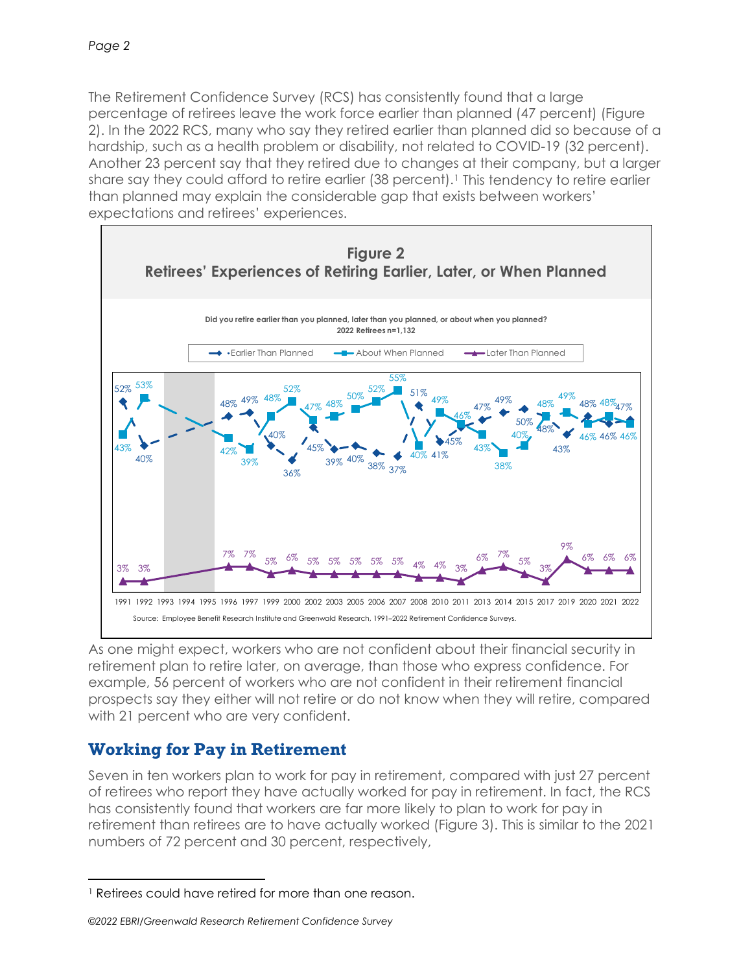The Retirement Confidence Survey (RCS) has consistently found that a large percentage of retirees leave the work force earlier than planned (47 percent) (Figure 2). In the 2022 RCS, many who say they retired earlier than planned did so because of a hardship, such as a health problem or disability, not related to COVID-19 (32 percent). Another 23 percent say that they retired due to changes at their company, but a larger share say they could afford to retire earlier (38 percent).<sup>[1](#page-1-0)</sup> This tendency to retire earlier than planned may explain the considerable gap that exists between workers' expectations and retirees' experiences.



As one might expect, workers who are not confident about their financial security in retirement plan to retire later, on average, than those who express confidence. For example, 56 percent of workers who are not confident in their retirement financial prospects say they either will not retire or do not know when they will retire, compared with 21 percent who are very confident.

## **Working for Pay in Retirement**

Seven in ten workers plan to work for pay in retirement, compared with just 27 percent of retirees who report they have actually worked for pay in retirement. In fact, the RCS has consistently found that workers are far more likely to plan to work for pay in retirement than retirees are to have actually worked (Figure 3). This is similar to the 2021 numbers of 72 percent and 30 percent, respectively,

*©2022 EBRI/Greenwald Research Retirement Confidence Survey*

<span id="page-1-0"></span><sup>&</sup>lt;sup>1</sup> Retirees could have retired for more than one reason.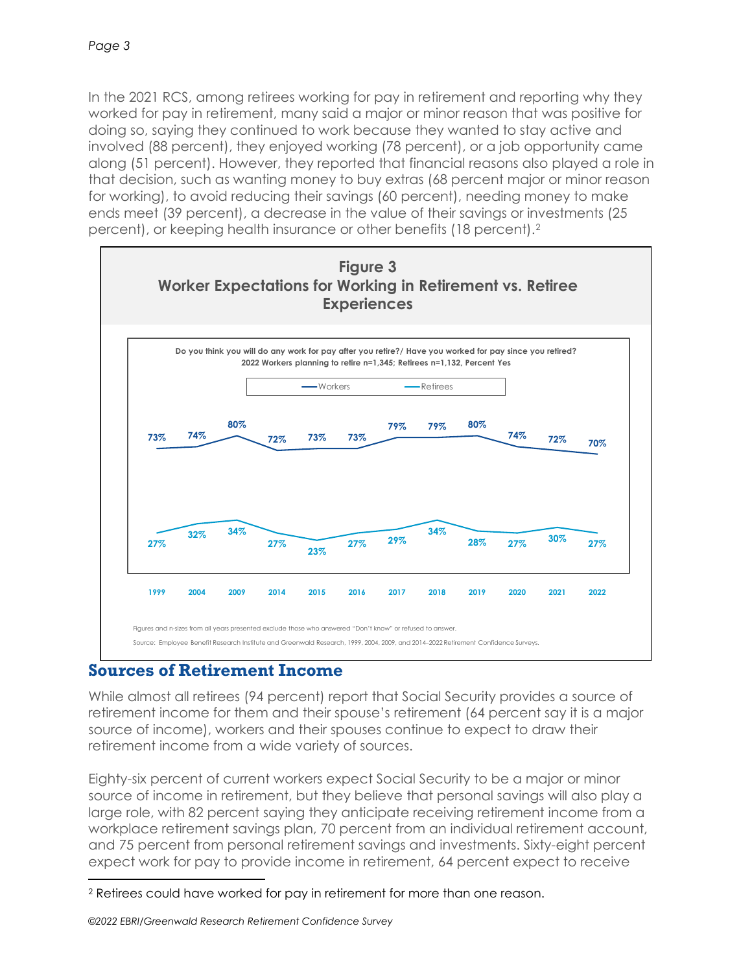In the 2021 RCS, among retirees working for pay in retirement and reporting why they worked for pay in retirement, many said a major or minor reason that was positive for doing so, saying they continued to work because they wanted to stay active and involved (88 percent), they enjoyed working (78 percent), or a job opportunity came along (51 percent). However, they reported that financial reasons also played a role in that decision, such as wanting money to buy extras (68 percent major or minor reason for working), to avoid reducing their savings (60 percent), needing money to make ends meet (39 percent), a decrease in the value of their savings or investments (25 percent), or keeping health insurance or other benefits (18 percent).[2](#page-2-0)



## **Sources of Retirement Income**

While almost all retirees (94 percent) report that Social Security provides a source of retirement income for them and their spouse's retirement (64 percent say it is a major source of income), workers and their spouses continue to expect to draw their retirement income from a wide variety of sources.

Eighty-six percent of current workers expect Social Security to be a major or minor source of income in retirement, but they believe that personal savings will also play a large role, with 82 percent saying they anticipate receiving retirement income from a workplace retirement savings plan, 70 percent from an individual retirement account, and 75 percent from personal retirement savings and investments. Sixty-eight percent expect work for pay to provide income in retirement, 64 percent expect to receive

<span id="page-2-0"></span><sup>2</sup> Retirees could have worked for pay in retirement for more than one reason.